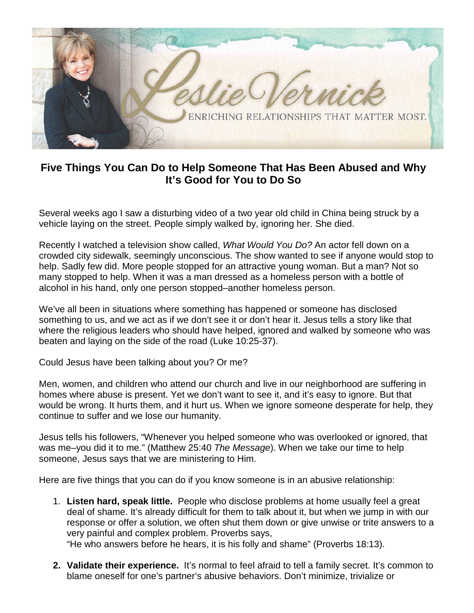

## **Five Things You Can Do to Help Someone That Has Been Abused and Why It's Good for You to Do So**

Several weeks ago I saw a disturbing video of a two year old child in China being struck by a vehicle laying on the street. People simply walked by, ignoring her. She died.

Recently I watched a television show called, *What Would You Do?* An actor fell down on a crowded city sidewalk, seemingly unconscious. The show wanted to see if anyone would stop to help. Sadly few did. More people stopped for an attractive young woman. But a man? Not so many stopped to help. When it was a man dressed as a homeless person with a bottle of alcohol in his hand, only one person stopped–another homeless person.

We've all been in situations where something has happened or someone has disclosed something to us, and we act as if we don't see it or don't hear it. Jesus tells a story like that where the religious leaders who should have helped, ignored and walked by someone who was beaten and laying on the side of the road (Luke 10:25-37).

Could Jesus have been talking about you? Or me?

Men, women, and children who attend our church and live in our neighborhood are suffering in homes where abuse is present. Yet we don't want to see it, and it's easy to ignore. But that would be wrong. It hurts them, and it hurt us. When we ignore someone desperate for help, they continue to suffer and we lose our humanity.

Jesus tells his followers, "Whenever you helped someone who was overlooked or ignored, that was me–you did it to me." (Matthew 25:40 *The Message*). When we take our time to help someone, Jesus says that we are ministering to Him.

Here are five things that you can do if you know someone is in an abusive relationship:

1. **Listen hard, speak little.** People who disclose problems at home usually feel a great deal of shame. It's already difficult for them to talk about it, but when we jump in with our response or offer a solution, we often shut them down or give unwise or trite answers to a very painful and complex problem. Proverbs says,

"He who answers before he hears, it is his folly and shame" (Proverbs 18:13).

**2. Validate their experience.** It's normal to feel afraid to tell a family secret. It's common to blame oneself for one's partner's abusive behaviors. Don't minimize, trivialize or